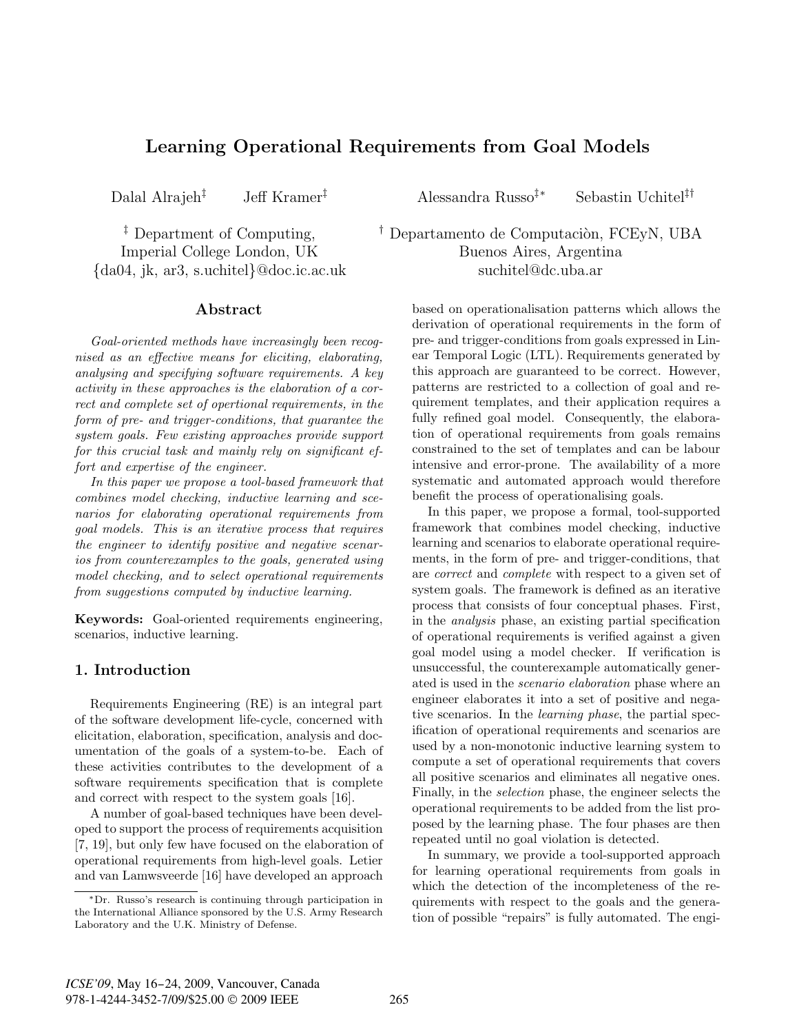# Learning Operational Requirements from Goal Models

Dalal Alrajeh<sup>‡</sup> Jeff Kramer<sup>‡</sup>

‡ Department of Computing, Imperial College London, UK {da04, jk, ar3, s.uchitel}@doc.ic.ac.uk

## Abstract

Goal-oriented methods have increasingly been recognised as an effective means for eliciting, elaborating, analysing and specifying software requirements. A key activity in these approaches is the elaboration of a correct and complete set of opertional requirements, in the form of pre- and trigger-conditions, that guarantee the system goals. Few existing approaches provide support for this crucial task and mainly rely on significant effort and expertise of the engineer.

In this paper we propose a tool-based framework that combines model checking, inductive learning and scenarios for elaborating operational requirements from goal models. This is an iterative process that requires the engineer to identify positive and negative scenarios from counterexamples to the goals, generated using model checking, and to select operational requirements from suggestions computed by inductive learning.

Keywords: Goal-oriented requirements engineering, scenarios, inductive learning.

## 1. Introduction

Requirements Engineering (RE) is an integral part of the software development life-cycle, concerned with elicitation, elaboration, specification, analysis and documentation of the goals of a system-to-be. Each of these activities contributes to the development of a software requirements specification that is complete and correct with respect to the system goals [16].

A number of goal-based techniques have been developed to support the process of requirements acquisition [7, 19], but only few have focused on the elaboration of operational requirements from high-level goals. Letier and van Lamwsveerde [16] have developed an approach Alessandra Russo‡∗ Sebastin Uchitel‡†

<sup>†</sup> Departamento de Computación, FCEyN, UBA Buenos Aires, Argentina suchitel@dc.uba.ar

> based on operationalisation patterns which allows the derivation of operational requirements in the form of pre- and trigger-conditions from goals expressed in Linear Temporal Logic (LTL). Requirements generated by this approach are guaranteed to be correct. However, patterns are restricted to a collection of goal and requirement templates, and their application requires a fully refined goal model. Consequently, the elaboration of operational requirements from goals remains constrained to the set of templates and can be labour intensive and error-prone. The availability of a more systematic and automated approach would therefore benefit the process of operationalising goals.

> In this paper, we propose a formal, tool-supported framework that combines model checking, inductive learning and scenarios to elaborate operational requirements, in the form of pre- and trigger-conditions, that are correct and complete with respect to a given set of system goals. The framework is defined as an iterative process that consists of four conceptual phases. First, in the analysis phase, an existing partial specification of operational requirements is verified against a given goal model using a model checker. If verification is unsuccessful, the counterexample automatically generated is used in the scenario elaboration phase where an engineer elaborates it into a set of positive and negative scenarios. In the learning phase, the partial specification of operational requirements and scenarios are used by a non-monotonic inductive learning system to compute a set of operational requirements that covers all positive scenarios and eliminates all negative ones. Finally, in the selection phase, the engineer selects the operational requirements to be added from the list proposed by the learning phase. The four phases are then repeated until no goal violation is detected.

> In summary, we provide a tool-supported approach for learning operational requirements from goals in which the detection of the incompleteness of the requirements with respect to the goals and the generation of possible "repairs" is fully automated. The engi-

<sup>∗</sup>Dr. Russo's research is continuing through participation in the International Alliance sponsored by the U.S. Army Research Laboratory and the U.K. Ministry of Defense.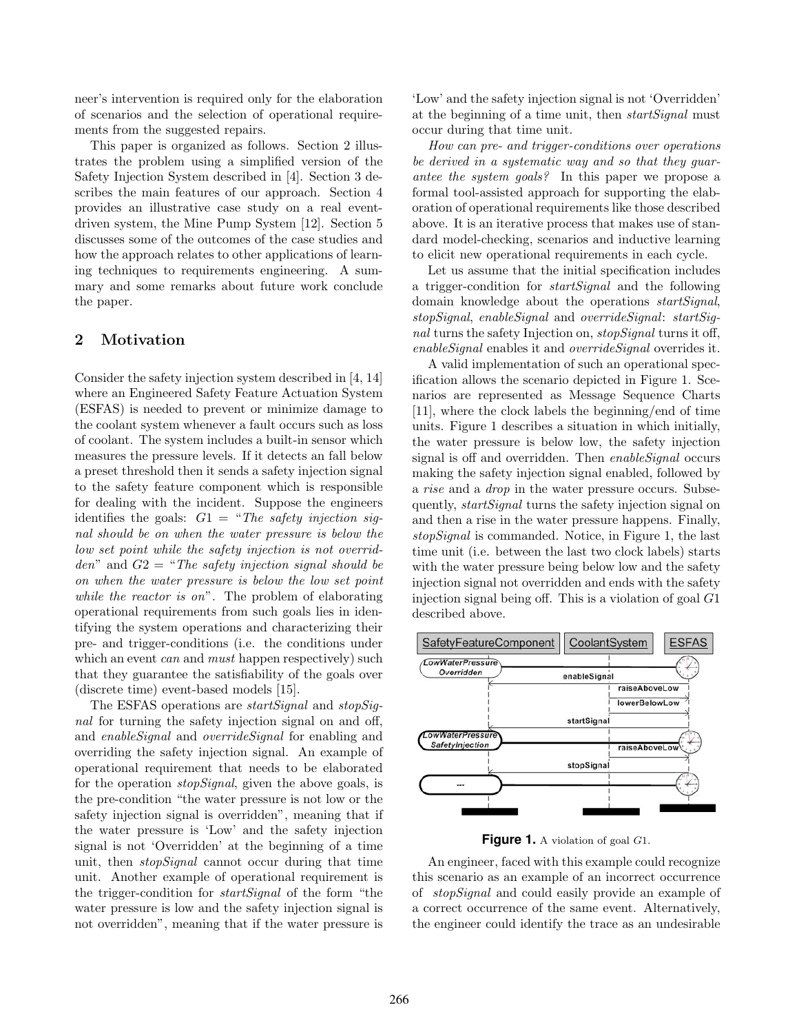neer's intervention is required only for the elaboration of scenarios and the selection of operational requirements from the suggested repairs.

This paper is organized as follows. Section 2 illustrates the problem using a simplified version of the Safety Injection System described in [4]. Section 3 describes the main features of our approach. Section 4 provides an illustrative case study on a real eventdriven system, the Mine Pump System [12]. Section 5 discusses some of the outcomes of the case studies and how the approach relates to other applications of learning techniques to requirements engineering. A summary and some remarks about future work conclude the paper.

## 2 Motivation

Consider the safety injection system described in [4, 14] where an Engineered Safety Feature Actuation System (ESFAS) is needed to prevent or minimize damage to the coolant system whenever a fault occurs such as loss of coolant. The system includes a built-in sensor which measures the pressure levels. If it detects an fall below a preset threshold then it sends a safety injection signal to the safety feature component which is responsible for dealing with the incident. Suppose the engineers identifies the goals:  $G1 =$  "The safety injection signal should be on when the water pressure is below the low set point while the safety injection is not overrid $den^{\prime\prime}$  and  $G2 = \text{``The safety injection signal should be}$ on when the water pressure is below the low set point while the reactor is on". The problem of elaborating operational requirements from such goals lies in identifying the system operations and characterizing their pre- and trigger-conditions (i.e. the conditions under which an event *can* and *must* happen respectively) such that they guarantee the satisfiability of the goals over (discrete time) event-based models [15].

The ESFAS operations are *startSignal* and *stopSig*nal for turning the safety injection signal on and off, and *enableSignal* and *overrideSignal* for enabling and overriding the safety injection signal. An example of operational requirement that needs to be elaborated for the operation *stopSignal*, given the above goals, is the pre-condition "the water pressure is not low or the safety injection signal is overridden", meaning that if the water pressure is 'Low' and the safety injection signal is not 'Overridden' at the beginning of a time unit, then stopSignal cannot occur during that time unit. Another example of operational requirement is the trigger-condition for startSignal of the form "the water pressure is low and the safety injection signal is not overridden", meaning that if the water pressure is 'Low' and the safety injection signal is not 'Overridden' at the beginning of a time unit, then startSignal must occur during that time unit.

How can pre- and trigger-conditions over operations be derived in a systematic way and so that they guarantee the system goals? In this paper we propose a formal tool-assisted approach for supporting the elaboration of operational requirements like those described above. It is an iterative process that makes use of standard model-checking, scenarios and inductive learning to elicit new operational requirements in each cycle.

Let us assume that the initial specification includes a trigger-condition for startSignal and the following domain knowledge about the operations *startSignal*, stopSignal, enableSignal and overrideSignal: startSignal turns the safety Injection on, *stopSignal* turns it off, enableSignal enables it and overrideSignal overrides it.

A valid implementation of such an operational specification allows the scenario depicted in Figure 1. Scenarios are represented as Message Sequence Charts [11], where the clock labels the beginning/end of time units. Figure 1 describes a situation in which initially, the water pressure is below low, the safety injection signal is off and overridden. Then *enableSignal* occurs making the safety injection signal enabled, followed by a rise and a drop in the water pressure occurs. Subsequently, *startSignal* turns the safety injection signal on and then a rise in the water pressure happens. Finally, stopSignal is commanded. Notice, in Figure 1, the last time unit (i.e. between the last two clock labels) starts with the water pressure being below low and the safety injection signal not overridden and ends with the safety injection signal being off. This is a violation of goal  $G1$ described above.



**Figure 1.** A violation of goal G1.

An engineer, faced with this example could recognize this scenario as an example of an incorrect occurrence of stopSignal and could easily provide an example of a correct occurrence of the same event. Alternatively, the engineer could identify the trace as an undesirable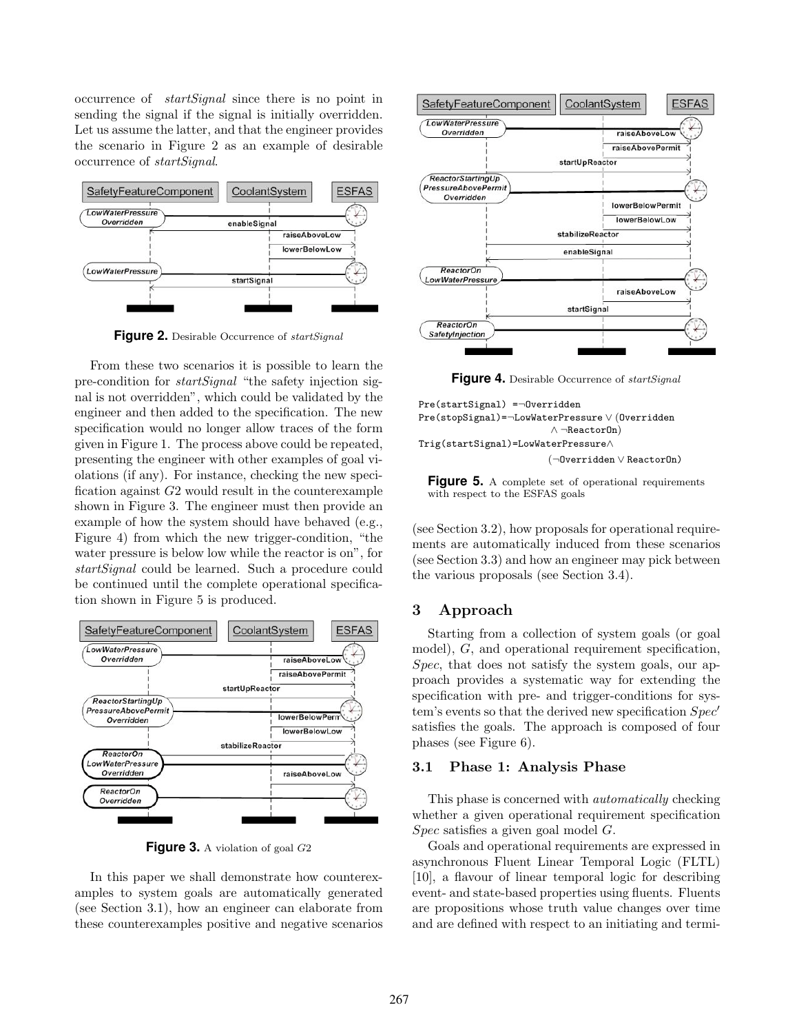occurrence of startSignal since there is no point in sending the signal if the signal is initially overridden. Let us assume the latter, and that the engineer provides the scenario in Figure 2 as an example of desirable occurrence of startSignal.



Figure 2. Desirable Occurrence of startSignal

From these two scenarios it is possible to learn the pre-condition for startSignal "the safety injection signal is not overridden", which could be validated by the engineer and then added to the specification. The new specification would no longer allow traces of the form given in Figure 1. The process above could be repeated, presenting the engineer with other examples of goal violations (if any). For instance, checking the new specification against G2 would result in the counterexample shown in Figure 3. The engineer must then provide an example of how the system should have behaved (e.g., Figure 4) from which the new trigger-condition, "the water pressure is below low while the reactor is on", for startSignal could be learned. Such a procedure could be continued until the complete operational specification shown in Figure 5 is produced.



**Figure 3.** A violation of goal G<sub>2</sub>

In this paper we shall demonstrate how counterexamples to system goals are automatically generated (see Section 3.1), how an engineer can elaborate from these counterexamples positive and negative scenarios



**Figure 4.** Desirable Occurrence of startSignal

```
Pre(startSignal) =¬Overridden
Pre(stopSignal)=¬LowWaterPressure ∨ (Overridden
                        ∧ ¬ReactorOn)
Trig(startSignal)=LowWaterPressure∧
                        (¬Overridden ∨ ReactorOn)
```
**Figure 5.** A complete set of operational requirements with respect to the ESFAS goals

(see Section 3.2), how proposals for operational requirements are automatically induced from these scenarios (see Section 3.3) and how an engineer may pick between the various proposals (see Section 3.4).

## 3 Approach

Starting from a collection of system goals (or goal model), G, and operational requirement specification, Spec, that does not satisfy the system goals, our approach provides a systematic way for extending the specification with pre- and trigger-conditions for system's events so that the derived new specification  $Spec'$ satisfies the goals. The approach is composed of four phases (see Figure 6).

#### 3.1 Phase 1: Analysis Phase

This phase is concerned with automatically checking whether a given operational requirement specification Spec satisfies a given goal model G.

Goals and operational requirements are expressed in asynchronous Fluent Linear Temporal Logic (FLTL) [10], a flavour of linear temporal logic for describing event- and state-based properties using fluents. Fluents are propositions whose truth value changes over time and are defined with respect to an initiating and termi-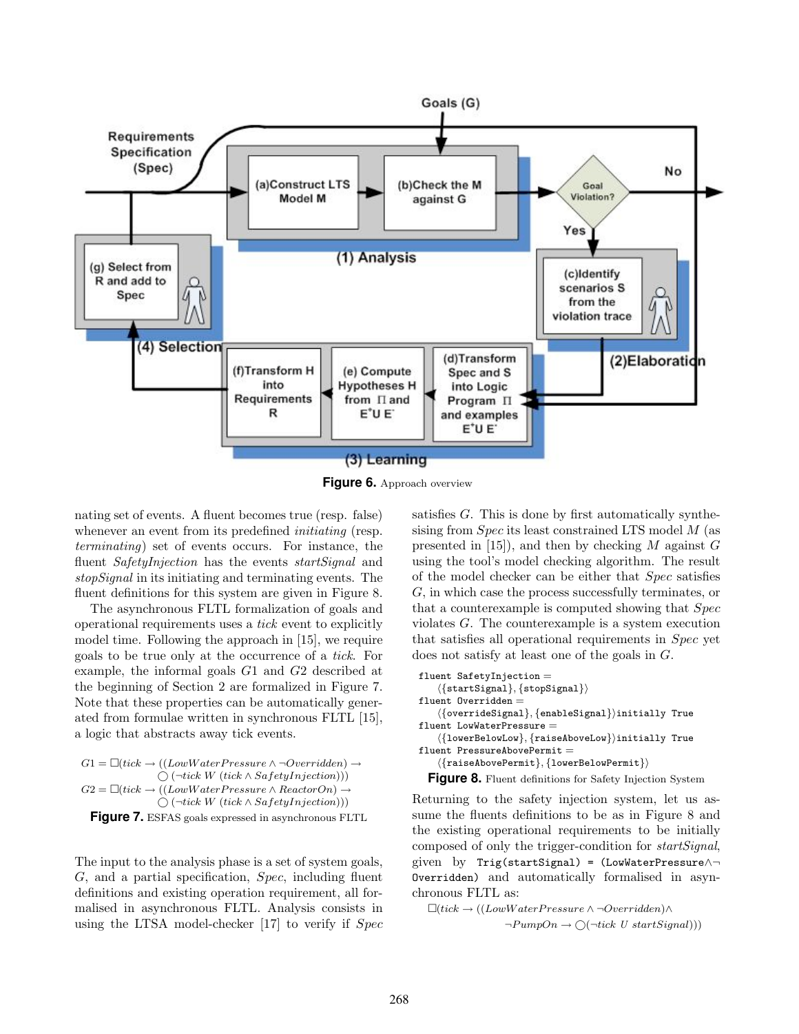

**Figure 6.** Approach overview

nating set of events. A fluent becomes true (resp. false) whenever an event from its predefined *initiating* (resp. terminating) set of events occurs. For instance, the fluent SafetyInjection has the events startSignal and stopSignal in its initiating and terminating events. The fluent definitions for this system are given in Figure 8.

The asynchronous FLTL formalization of goals and operational requirements uses a tick event to explicitly model time. Following the approach in [15], we require goals to be true only at the occurrence of a tick. For example, the informal goals G1 and G2 described at the beginning of Section 2 are formalized in Figure 7. Note that these properties can be automatically generated from formulae written in synchronous FLTL [15], a logic that abstracts away tick events.

```
G1 = \Box (tick \rightarrow ((LowWater Pressure \land \neg Overridden) \rightarrow\bigcirc (¬tick W (tick \land SafetyInjection)))
G2 = \Box (tick \rightarrow ((LowWater Pressure \land ReactorOn) \rightarrow\bigcap (¬tick W (tick \wedge SafetyInjection)))
```
**Figure 7.** ESFAS goals expressed in asynchronous FLTL

The input to the analysis phase is a set of system goals,  $G$ , and a partial specification,  $Spec$ , including fluent definitions and existing operation requirement, all formalised in asynchronous FLTL. Analysis consists in using the LTSA model-checker [17] to verify if Spec satisfies  $G$ . This is done by first automatically synthesising from Spec its least constrained LTS model M (as presented in  $[15]$ , and then by checking M against G using the tool's model checking algorithm. The result of the model checker can be either that Spec satisfies G, in which case the process successfully terminates, or that a counterexample is computed showing that Spec violates G. The counterexample is a system execution that satisfies all operational requirements in Spec yet does not satisfy at least one of the goals in G.

```
fluent SafetyInjection =
    \langle {\{\texttt{startSignal}\}, \{\texttt{stopSignal}\}} \ranglefluent Overridden =
    \langle{overrideSignal}, {enableSignal})initially True
fluent LowWaterPressure =\langle{lowerBelowLow}, {raiseAboveLow}}initially True
fluent PressureAbovePermit =
    \langle \{\mathtt{raiseWebPermit}\}, \{\mathtt{lowerBelowPermit}\}\rangleFigure 8. Fluent definitions for Safety Injection System
```
Returning to the safety injection system, let us assume the fluents definitions to be as in Figure 8 and the existing operational requirements to be initially composed of only the trigger-condition for startSignal, given by Trig(startSignal) = (LowWaterPressure∧¬ Overridden) and automatically formalised in asynchronous FLTL as:

 $\Box (tick \rightarrow ((LowWater Pressure \land \neg Overridden) \land$  $\neg PumpOn \rightarrow \bigcirc (\neg tick \; U \; startSignal)))$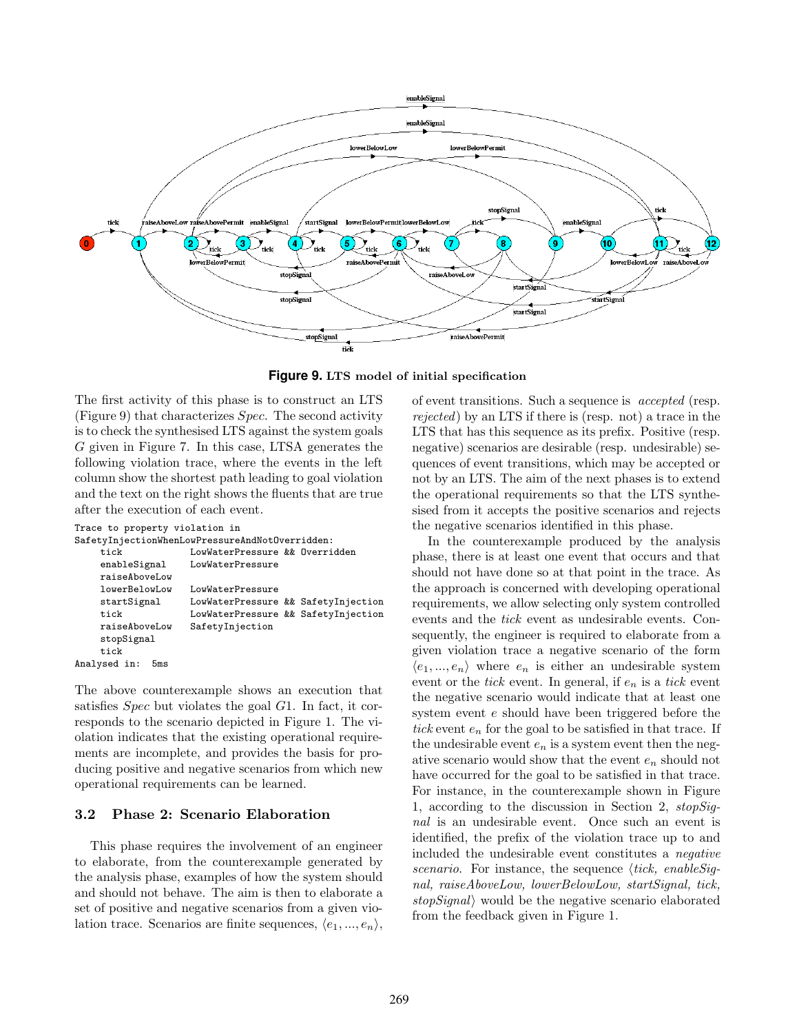

**Figure 9.** LTS model of initial specification

The first activity of this phase is to construct an LTS (Figure 9) that characterizes Spec. The second activity is to check the synthesised LTS against the system goals G given in Figure 7. In this case, LTSA generates the following violation trace, where the events in the left column show the shortest path leading to goal violation and the text on the right shows the fluents that are true after the execution of each event.

Trace to property violation in

| LowWaterPressure && Overridden<br>tick             |  |
|----------------------------------------------------|--|
| enableSignal<br>LowWaterPressure<br>raiseAboveLow  |  |
| lowerBelowLow<br>LowWaterPressure                  |  |
| LowWaterPressure && SafetyInjection<br>startSignal |  |
| LowWaterPressure && SafetyInjection<br>tick        |  |
| raiseAboveLow<br>SafetyInjection                   |  |
| stopSignal                                         |  |
| tick                                               |  |
| Analysed in:<br>5ms                                |  |

The above counterexample shows an execution that satisfies *Spec* but violates the goal G1. In fact, it corresponds to the scenario depicted in Figure 1. The violation indicates that the existing operational requirements are incomplete, and provides the basis for producing positive and negative scenarios from which new operational requirements can be learned.

## 3.2 Phase 2: Scenario Elaboration

This phase requires the involvement of an engineer to elaborate, from the counterexample generated by the analysis phase, examples of how the system should and should not behave. The aim is then to elaborate a set of positive and negative scenarios from a given violation trace. Scenarios are finite sequences,  $\langle e_1, ..., e_n \rangle$ ,

of event transitions. Such a sequence is accepted (resp. rejected) by an LTS if there is (resp. not) a trace in the LTS that has this sequence as its prefix. Positive (resp. negative) scenarios are desirable (resp. undesirable) sequences of event transitions, which may be accepted or not by an LTS. The aim of the next phases is to extend the operational requirements so that the LTS synthesised from it accepts the positive scenarios and rejects the negative scenarios identified in this phase.

In the counterexample produced by the analysis phase, there is at least one event that occurs and that should not have done so at that point in the trace. As the approach is concerned with developing operational requirements, we allow selecting only system controlled events and the tick event as undesirable events. Consequently, the engineer is required to elaborate from a given violation trace a negative scenario of the form  $\langle e_1, ..., e_n \rangle$  where  $e_n$  is either an undesirable system event or the tick event. In general, if  $e_n$  is a tick event the negative scenario would indicate that at least one system event e should have been triggered before the tick event  $e_n$  for the goal to be satisfied in that trace. If the undesirable event  $e_n$  is a system event then the negative scenario would show that the event  $e_n$  should not have occurred for the goal to be satisfied in that trace. For instance, in the counterexample shown in Figure 1, according to the discussion in Section 2, stopSignal is an undesirable event. Once such an event is identified, the prefix of the violation trace up to and included the undesirable event constitutes a negative scenario. For instance, the sequence  $\langle tick, enableSig$ nal, raiseAboveLow, lowerBelowLow, startSignal, tick,  $stopSignal$  would be the negative scenario elaborated from the feedback given in Figure 1.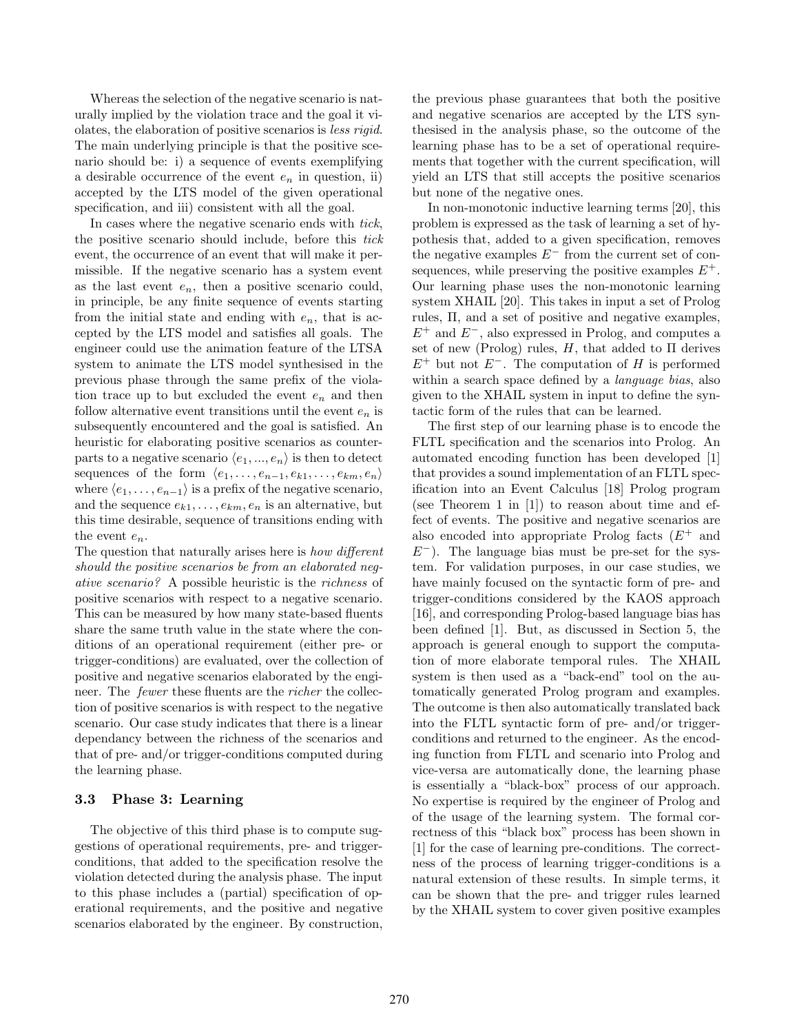Whereas the selection of the negative scenario is naturally implied by the violation trace and the goal it violates, the elaboration of positive scenarios is less rigid. The main underlying principle is that the positive scenario should be: i) a sequence of events exemplifying a desirable occurrence of the event  $e_n$  in question, ii) accepted by the LTS model of the given operational specification, and iii) consistent with all the goal.

In cases where the negative scenario ends with tick, the positive scenario should include, before this tick event, the occurrence of an event that will make it permissible. If the negative scenario has a system event as the last event  $e_n$ , then a positive scenario could, in principle, be any finite sequence of events starting from the initial state and ending with  $e_n$ , that is accepted by the LTS model and satisfies all goals. The engineer could use the animation feature of the LTSA system to animate the LTS model synthesised in the previous phase through the same prefix of the violation trace up to but excluded the event  $e_n$  and then follow alternative event transitions until the event  $e_n$  is subsequently encountered and the goal is satisfied. An heuristic for elaborating positive scenarios as counterparts to a negative scenario  $\langle e_1, ..., e_n \rangle$  is then to detect sequences of the form  $\langle e_1, \ldots, e_{n-1}, e_{k1}, \ldots, e_{km}, e_n \rangle$ where  $\langle e_1, \ldots, e_{n-1} \rangle$  is a prefix of the negative scenario, and the sequence  $e_{k1}, \ldots, e_{km}, e_n$  is an alternative, but this time desirable, sequence of transitions ending with the event  $e_n$ .

The question that naturally arises here is *how different* should the positive scenarios be from an elaborated negative scenario? A possible heuristic is the richness of positive scenarios with respect to a negative scenario. This can be measured by how many state-based fluents share the same truth value in the state where the conditions of an operational requirement (either pre- or trigger-conditions) are evaluated, over the collection of positive and negative scenarios elaborated by the engineer. The *fewer* these fluents are the *richer* the collection of positive scenarios is with respect to the negative scenario. Our case study indicates that there is a linear dependancy between the richness of the scenarios and that of pre- and/or trigger-conditions computed during the learning phase.

### 3.3 Phase 3: Learning

The objective of this third phase is to compute suggestions of operational requirements, pre- and triggerconditions, that added to the specification resolve the violation detected during the analysis phase. The input to this phase includes a (partial) specification of operational requirements, and the positive and negative scenarios elaborated by the engineer. By construction,

the previous phase guarantees that both the positive and negative scenarios are accepted by the LTS synthesised in the analysis phase, so the outcome of the learning phase has to be a set of operational requirements that together with the current specification, will yield an LTS that still accepts the positive scenarios but none of the negative ones.

In non-monotonic inductive learning terms [20], this problem is expressed as the task of learning a set of hypothesis that, added to a given specification, removes the negative examples  $E^-$  from the current set of consequences, while preserving the positive examples  $E^+$ . Our learning phase uses the non-monotonic learning system XHAIL [20]. This takes in input a set of Prolog rules, Π, and a set of positive and negative examples,  $E^+$  and  $E^-$ , also expressed in Prolog, and computes a set of new (Prolog) rules,  $H$ , that added to  $\Pi$  derives  $E^+$  but not  $E^-$ . The computation of H is performed within a search space defined by a *language bias*, also given to the XHAIL system in input to define the syntactic form of the rules that can be learned.

The first step of our learning phase is to encode the FLTL specification and the scenarios into Prolog. An automated encoding function has been developed [1] that provides a sound implementation of an FLTL specification into an Event Calculus [18] Prolog program (see Theorem 1 in [1]) to reason about time and effect of events. The positive and negative scenarios are also encoded into appropriate Prolog facts  $(E^+$  and  $E^-$ ). The language bias must be pre-set for the system. For validation purposes, in our case studies, we have mainly focused on the syntactic form of pre- and trigger-conditions considered by the KAOS approach [16], and corresponding Prolog-based language bias has been defined [1]. But, as discussed in Section 5, the approach is general enough to support the computation of more elaborate temporal rules. The XHAIL system is then used as a "back-end" tool on the automatically generated Prolog program and examples. The outcome is then also automatically translated back into the FLTL syntactic form of pre- and/or triggerconditions and returned to the engineer. As the encoding function from FLTL and scenario into Prolog and vice-versa are automatically done, the learning phase is essentially a "black-box" process of our approach. No expertise is required by the engineer of Prolog and of the usage of the learning system. The formal correctness of this "black box" process has been shown in [1] for the case of learning pre-conditions. The correctness of the process of learning trigger-conditions is a natural extension of these results. In simple terms, it can be shown that the pre- and trigger rules learned by the XHAIL system to cover given positive examples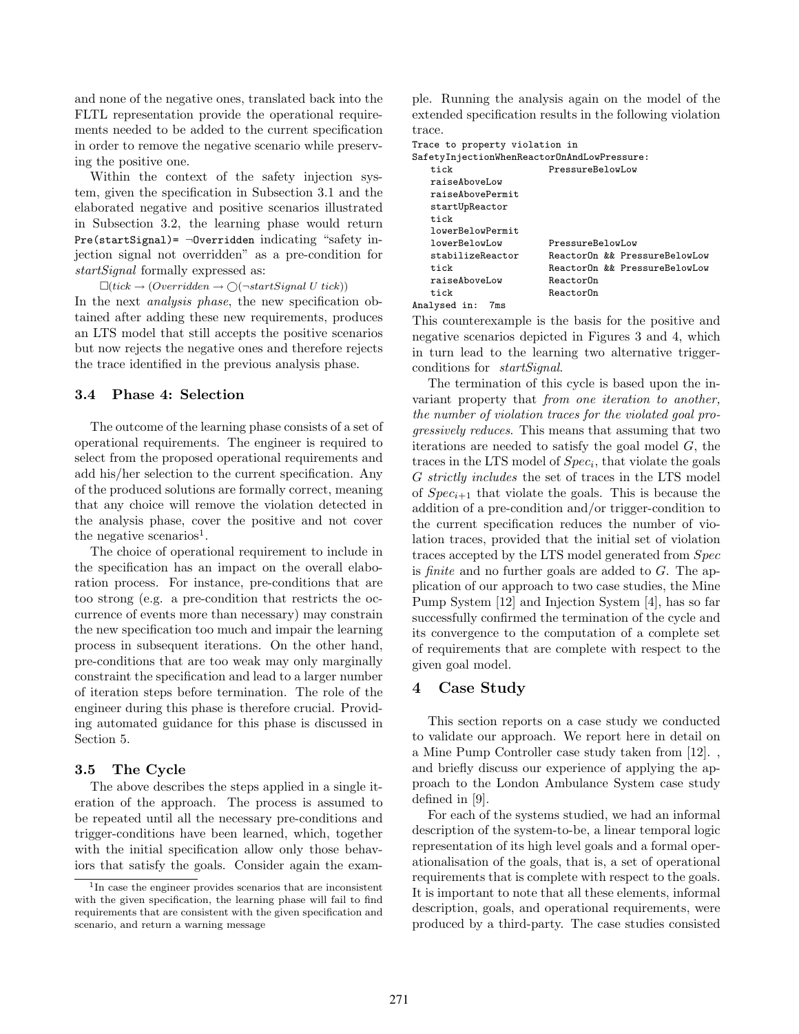and none of the negative ones, translated back into the FLTL representation provide the operational requirements needed to be added to the current specification in order to remove the negative scenario while preserving the positive one.

Within the context of the safety injection system, given the specification in Subsection 3.1 and the elaborated negative and positive scenarios illustrated in Subsection 3.2, the learning phase would return  $Pre (startSignal) = \neg Overridden indicating "safety in$ jection signal not overridden" as a pre-condition for startSignal formally expressed as:

 $\Box (tick \rightarrow (Overridden \rightarrow \bigcirc (\neg startSignal \ U \ tick))$ 

In the next *analysis phase*, the new specification obtained after adding these new requirements, produces an LTS model that still accepts the positive scenarios but now rejects the negative ones and therefore rejects the trace identified in the previous analysis phase.

### 3.4 Phase 4: Selection

The outcome of the learning phase consists of a set of operational requirements. The engineer is required to select from the proposed operational requirements and add his/her selection to the current specification. Any of the produced solutions are formally correct, meaning that any choice will remove the violation detected in the analysis phase, cover the positive and not cover the negative scenarios<sup>1</sup>.

The choice of operational requirement to include in the specification has an impact on the overall elaboration process. For instance, pre-conditions that are too strong (e.g. a pre-condition that restricts the occurrence of events more than necessary) may constrain the new specification too much and impair the learning process in subsequent iterations. On the other hand, pre-conditions that are too weak may only marginally constraint the specification and lead to a larger number of iteration steps before termination. The role of the engineer during this phase is therefore crucial. Providing automated guidance for this phase is discussed in Section 5.

## 3.5 The Cycle

The above describes the steps applied in a single iteration of the approach. The process is assumed to be repeated until all the necessary pre-conditions and trigger-conditions have been learned, which, together with the initial specification allow only those behaviors that satisfy the goals. Consider again the example. Running the analysis again on the model of the extended specification results in the following violation trace.

```
Trace to property violation in
```

```
SafetyInjectionWhenReactorOnAndLowPressure:
  tick PressureBelowLow
```

| raiseAboveLow<br>raiseAbovePermit |                               |
|-----------------------------------|-------------------------------|
| startUpReactor                    |                               |
| tick                              |                               |
| lowerBelowPermit                  |                               |
| lowerBelowLow                     | PressureBelowLow              |
| stabilizeReactor                  | ReactorOn && PressureBelowLow |
| tick                              | ReactorOn && PressureBelowLow |
| raiseAboveLow                     | ReactorOn                     |
| tick                              | ReactorOn                     |

Analysed in: 7ms

This counterexample is the basis for the positive and negative scenarios depicted in Figures 3 and 4, which in turn lead to the learning two alternative triggerconditions for startSignal.

The termination of this cycle is based upon the invariant property that from one iteration to another, the number of violation traces for the violated goal progressively reduces. This means that assuming that two iterations are needed to satisfy the goal model  $G$ , the traces in the LTS model of  $Spec_i$ , that violate the goals G strictly includes the set of traces in the LTS model of  $Spec_{i+1}$  that violate the goals. This is because the addition of a pre-condition and/or trigger-condition to the current specification reduces the number of violation traces, provided that the initial set of violation traces accepted by the LTS model generated from Spec is *finite* and no further goals are added to  $G$ . The application of our approach to two case studies, the Mine Pump System [12] and Injection System [4], has so far successfully confirmed the termination of the cycle and its convergence to the computation of a complete set of requirements that are complete with respect to the given goal model.

## 4 Case Study

This section reports on a case study we conducted to validate our approach. We report here in detail on a Mine Pump Controller case study taken from [12]. , and briefly discuss our experience of applying the approach to the London Ambulance System case study defined in [9].

For each of the systems studied, we had an informal description of the system-to-be, a linear temporal logic representation of its high level goals and a formal operationalisation of the goals, that is, a set of operational requirements that is complete with respect to the goals. It is important to note that all these elements, informal description, goals, and operational requirements, were produced by a third-party. The case studies consisted

<sup>1</sup> In case the engineer provides scenarios that are inconsistent with the given specification, the learning phase will fail to find requirements that are consistent with the given specification and scenario, and return a warning message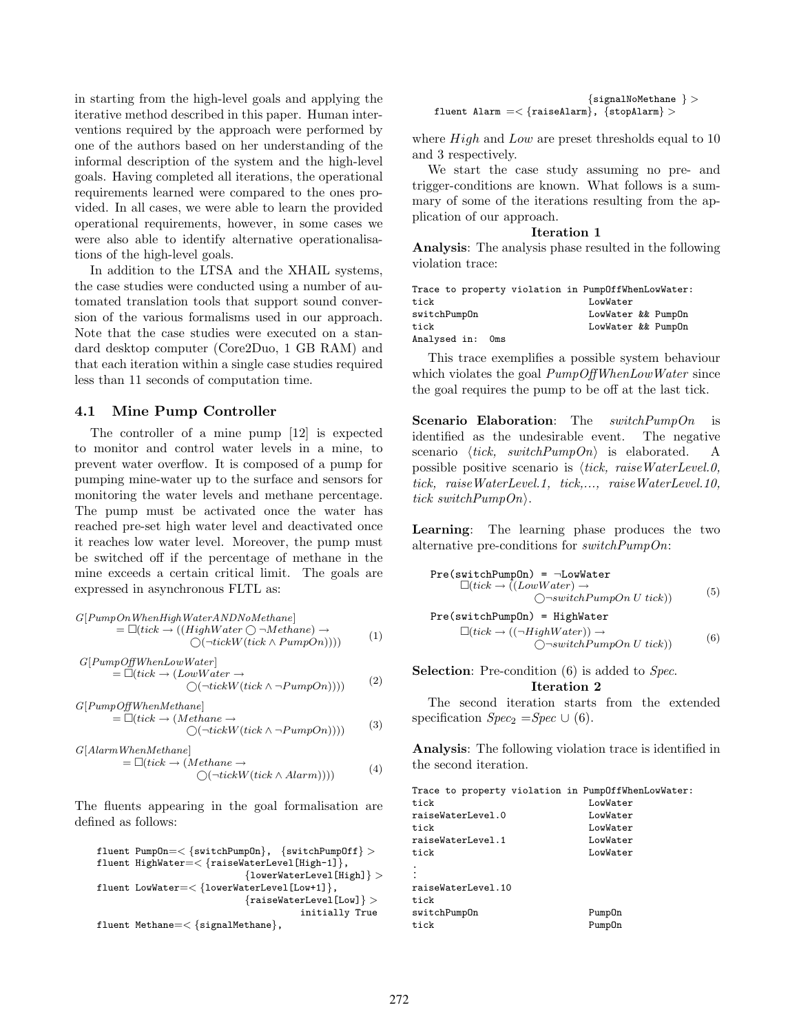in starting from the high-level goals and applying the iterative method described in this paper. Human interventions required by the approach were performed by one of the authors based on her understanding of the informal description of the system and the high-level goals. Having completed all iterations, the operational requirements learned were compared to the ones provided. In all cases, we were able to learn the provided operational requirements, however, in some cases we were also able to identify alternative operationalisations of the high-level goals.

In addition to the LTSA and the XHAIL systems, the case studies were conducted using a number of automated translation tools that support sound conversion of the various formalisms used in our approach. Note that the case studies were executed on a standard desktop computer (Core2Duo, 1 GB RAM) and that each iteration within a single case studies required less than 11 seconds of computation time.

#### 4.1 Mine Pump Controller

The controller of a mine pump [12] is expected to monitor and control water levels in a mine, to prevent water overflow. It is composed of a pump for pumping mine-water up to the surface and sensors for monitoring the water levels and methane percentage. The pump must be activated once the water has reached pre-set high water level and deactivated once it reaches low water level. Moreover, the pump must be switched off if the percentage of methane in the mine exceeds a certain critical limit. The goals are expressed in asynchronous FLTL as:

$$
G[PumpOnWhenHighWaterANDNoMethode] = \Box (tick \rightarrow ((HighWater \bigcirc \neg Methane) \rightarrow \bigcirc (\neg tickW (tick \wedge PumpOn)))) \qquad (1)
$$

$$
G[PumpOffWhenLowWater] = \Box (tick \rightarrow (LowWater \rightarrow \bigcirc (\neg tickW (tick \land \neg PumpOn)))) \qquad (2)
$$

$$
G[PumpOff When Methane] = \Box (tick \rightarrow (Method \rightarrow
$$

$$
\bigcirc (\neg tickW(tick \land \neg PumpOn))))
$$
(3)

$$
G[Alarm When Methane] = \Box(tick \rightarrow (Method \rightarrow
$$

$$
\bigcirc(\neg tickW(tick \land Alarm)))) \tag{4}
$$

The fluents appearing in the goal formalisation are defined as follows:

```
fluent PumpOn=< {switchPumpOn}, {switchPumpOff} >
fluent HighWater=< {raiseWaterLevel[High-1]},
                          {lowerWaterLevel[High]} >
fluent LowWater=< {lowerWaterLevel[Low+1]},
                          {raiseWaterLevel[Low]} >
                                     initially True
fluent Methane=< {signalMethane},
```

$$
\{signalNoMethod\}>\texttt{fluent Alarm}=<\{\texttt{raiseAlarm}\},\ \{\texttt{stopAlarm}\}>
$$

where *High* and *Low* are preset thresholds equal to 10 and 3 respectively.

We start the case study assuming no pre- and trigger-conditions are known. What follows is a summary of some of the iterations resulting from the application of our approach.

#### Iteration 1

Analysis: The analysis phase resulted in the following violation trace:

|              |     |  | Trace to property violation in PumpOffWhenLowWater: |  |  |
|--------------|-----|--|-----------------------------------------------------|--|--|
| tick         |     |  | LowWater                                            |  |  |
| switchPumpOn |     |  | LowWater && PumpOn                                  |  |  |
| tick         |     |  | LowWater && PumpOn                                  |  |  |
| Analysed in: | Oms |  |                                                     |  |  |

This trace exemplifies a possible system behaviour which violates the goal  $PumpOffWhen Low Water$  since the goal requires the pump to be off at the last tick.

**Scenario Elaboration:** The  $switchPumpOn$  is identified as the undesirable event. The negative scenario  $\langle tick, switchPumpOn\rangle$  is elaborated. A possible positive scenario is  $\langle tick, raiseWaterLevel.0,$ tick, raiseWaterLevel.1, tick,..., raiseWaterLevel.10, tick switch  $PumpOn$ .

Learning: The learning phase produces the two alternative pre-conditions for  $switchPumpOn$ :

$$
\begin{array}{ll}\n\text{Pre}(\text{switchPumpOn}) &= \neg \text{LowWater} \\
\Box(\text{tick} \rightarrow ((\text{LowWater}) \rightarrow \bigcirc \neg \text{switchPumpOn } U \text{ tick}))\n\end{array} \tag{5}
$$

$$
\begin{aligned} \text{Pre}(\text{switchPumpOn}) &= \text{HighWater} \\ \Box(\text{tick} \rightarrow ((\neg \text{HighWater})) \rightarrow \\ \bigcirc \neg \text{switchPumpOn } U \text{ tick}) ) \end{aligned} \tag{6}
$$

Selection: Pre-condition (6) is added to Spec. Iteration 2

The second iteration starts from the extended specification  $Spec_2 = Spec \cup (6)$ .

Analysis: The following violation trace is identified in the second iteration.

| Trace to property violation in PumpOffWhenLowWater:<br>tick<br>raiseWaterLevel.0 | LowWater<br>LowWater |
|----------------------------------------------------------------------------------|----------------------|
| tick                                                                             | LowWater             |
| raiseWaterLevel.1                                                                | LowWater             |
| tick                                                                             | LowWater             |
|                                                                                  |                      |
| raiseWaterLevel.10                                                               |                      |
| tick                                                                             |                      |
| switchPumpOn<br>tick                                                             | PumpOn<br>PumpOn     |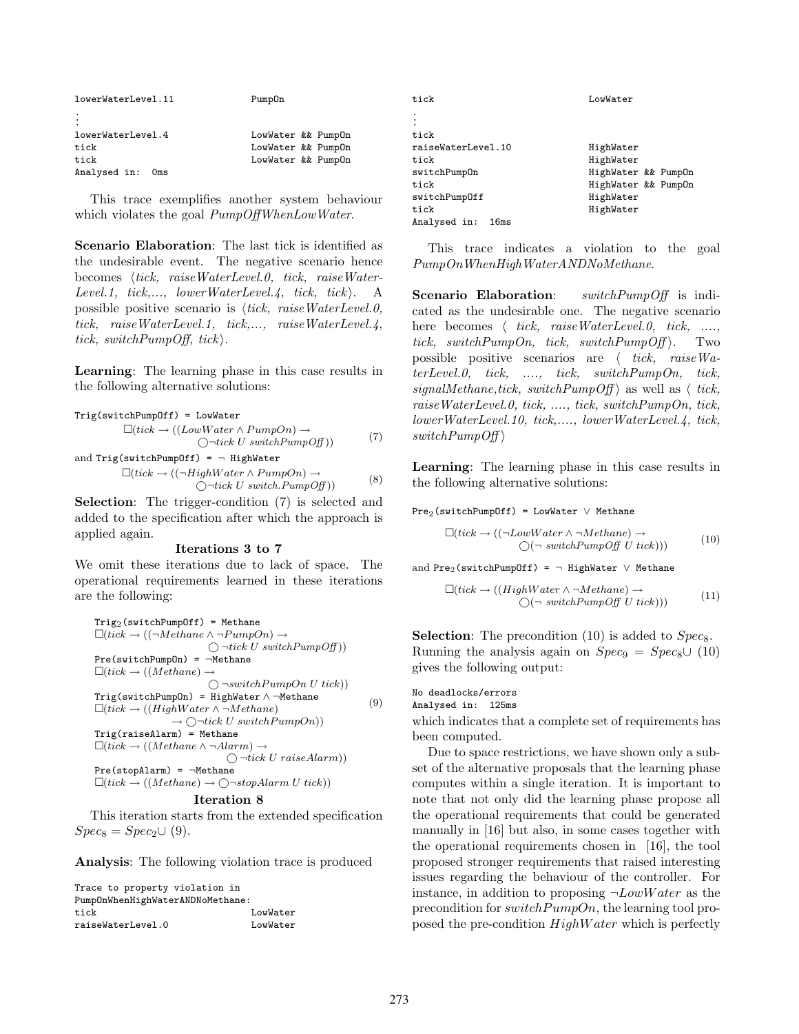| lowerWaterLevel.11                | PumpOn             |
|-----------------------------------|--------------------|
| $\bullet$<br>$\ddot{\phantom{0}}$ |                    |
| lowerWaterLevel.4                 | LowWater && PumpOn |
| tick                              | LowWater && PumpOn |
| tick                              | LowWater && PumpOn |
| Analysed in:<br>Oms               |                    |

This trace exemplifies another system behaviour which violates the goal  $PumpOffWhen Low Water$ .

Scenario Elaboration: The last tick is identified as the undesirable event. The negative scenario hence becomes  $\langle tick, raiseWaterLevel.0, tick, raiseWater.$ Level.1, tick,..., lowerWaterLevel.4, tick, tick $\rangle$ . A possible positive scenario is  $\langle tick, raiseWaterLevel.0,$ tick, raiseWaterLevel.1, tick,..., raiseWaterLevel.4, tick, switchPumpOff, tick $\rangle$ .

Learning: The learning phase in this case results in the following alternative solutions:

$$
\begin{aligned}\n\text{Trig}(\text{switchPumpOff}) &= \text{LowWater} \\
&\Box (tick \rightarrow ((LowWater \land PumpOn) \rightarrow \Box\n \text{Orick } U \text{ switchPumpOff}))\n\end{aligned}\n\tag{7}
$$
\n
$$
\text{and Trig}(\text{switchPumpOff}) = \neg \text{ HighWater} \\
\Box (tick \rightarrow ((\neg HighWater \land PumpOn) \rightarrow \Box\n \text{or} \text{line})\n\end{aligned}
$$

 $\Box (tick \rightarrow ((\neg HighWater \land PumpOn) \rightarrow \bigcirc\neg\neg\neg\n 'ick U switch. PumpOff))$  (8)

Selection: The trigger-condition  $(7)$  is selected and added to the specification after which the approach is applied again.

#### Iterations 3 to 7

We omit these iterations due to lack of space. The operational requirements learned in these iterations are the following:

$$
\begin{array}{ll} \mathsf{Trig_2}\left(\mathsf{switchPumpOff}\right) & = \mathsf{Method} \\ \Box(tick \rightarrow ((\neg Methane \land \neg PumpOn) \rightarrow \\ & \bigcirc \neg tick \; U \; switchPumpOff)) \end{array} \\ \mathsf{Pre}\left(\mathsf{switchPumpOn}\right) & = \neg Methane \\ \Box(tick \rightarrow ((Method \rightarrow \\ & \bigcirc \neg switchPumpOn \; U \; tick)) \end{array} \\ \begin{array}{ll} \mathsf{Trig}\left(\mathsf{switchPumpOn}\right) & = \mathsf{HighWater} \land \neg Methane \\ \Box(tick \rightarrow ((HighWater \land \neg Methane) \\ \rightarrow \bigcirc \neg tick \; U \; switchPumpOn)) \end{array} \\ \begin{array}{ll} \mathsf{Trig}\left(\mathsf{raiseHam}\right) & = \mathsf{Method} \\ \Box(tick \rightarrow ((Method \land \neg Alarm) \rightarrow \\ & \bigcirc \neg tick \; U \; raiseAlarm)\right) \end{array} \\ \begin{array}{ll} \mathsf{Pre}\left(\mathsf{stopHam}\right) & = \neg Methane \\ \Box(tick \rightarrow ((Method \land \neg Alarm) \rightarrow \\ & \bigcirc \neg stopAlarm \; U \; tick)) \end{array} \end{array} \end{array} \label{eq:3}
$$

#### Iteration 8

This iteration starts from the extended specification  $Spec_8 = Spec_2 \cup (9)$ .

Analysis: The following violation trace is produced

|                                  |  |                   | Trace to property violation in |  |          |
|----------------------------------|--|-------------------|--------------------------------|--|----------|
| PumpOnWhenHighWaterANDNoMethane: |  |                   |                                |  |          |
| tick                             |  |                   |                                |  | LowWater |
|                                  |  | raiseWaterLevel.0 |                                |  | LowWater |

| tick                 | LowWater            |
|----------------------|---------------------|
|                      |                     |
| tick                 |                     |
| raiseWaterLevel.10   | HighWater           |
| tick                 | HighWater           |
| switchPumpOn         | HighWater && PumpOn |
| tick                 | HighWater && PumpOn |
| switchPumpOff        | HighWater           |
| tick                 | HighWater           |
| Analysed in:<br>16ms |                     |

This trace indicates a violation to the goal PumpOnWhenHighWaterANDNoMethane.

Scenario Elaboration: *switchPumpOff* is indicated as the undesirable one. The negative scenario here becomes  $\langle$  tick, raiseWaterLevel.0, tick, ...., tick, switchPumpOn, tick, switchPumpOff $\rangle$ . Two possible positive scenarios are  $\langle$  tick, raiseWaterLevel.0, tick, ...., tick, switchPumpOn, tick, signalMethane,tick, switchPumpOff) as well as  $\langle$  tick, raiseWaterLevel.0, tick, ...., tick, switchPumpOn, tick, lowerWaterLevel.10, tick,...., lowerWaterLevel.4, tick,  $switchPumpOff$ 

Learning: The learning phase in this case results in the following alternative solutions:

Pre2(switchPumpOff) = LowWater ∨ Methane

$$
\Box(tick \to ((\neg LowWater \land \neg Methane) \to \bigcirc (\neg \ switchPumpOff \ U \ tick))) \tag{10}
$$

and Pre<sub>2</sub>(switchPumpOff) =  $\neg$  HighWater  $\vee$  Methane

$$
\Box(tick \to ((HighWater \land \neg Methane) \to \bigcirc(\neg switchPumpOff \ U \ tick))) \tag{11}
$$

**Selection:** The precondition  $(10)$  is added to  $Spec_8$ . Running the analysis again on  $Spec_9 = Spec_8 \cup (10)$ gives the following output:

#### No deadlocks/errors

Analysed in: 125ms

which indicates that a complete set of requirements has been computed.

Due to space restrictions, we have shown only a subset of the alternative proposals that the learning phase computes within a single iteration. It is important to note that not only did the learning phase propose all the operational requirements that could be generated manually in [16] but also, in some cases together with the operational requirements chosen in [16], the tool proposed stronger requirements that raised interesting issues regarding the behaviour of the controller. For instance, in addition to proposing  $\neg LowWater$  as the precondition for  $switchPumpOn$ , the learning tool proposed the pre-condition HighW ater which is perfectly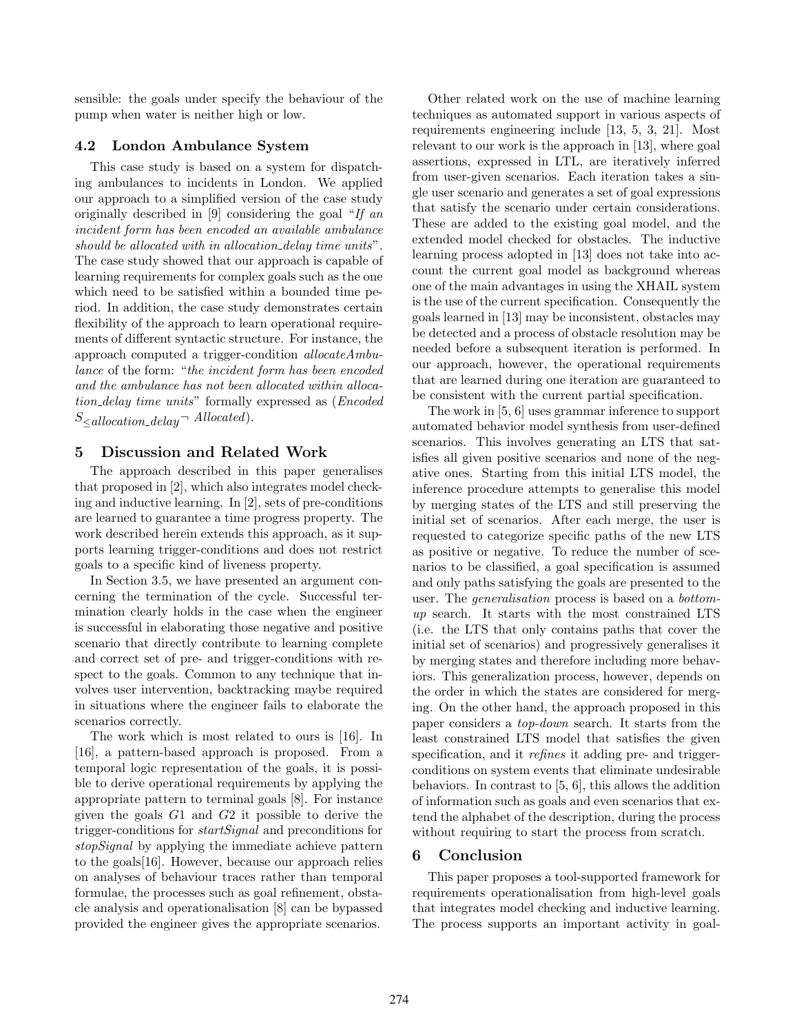sensible: the goals under specify the behaviour of the pump when water is neither high or low.

## 4.2 London Ambulance System

This case study is based on a system for dispatching ambulances to incidents in London. We applied our approach to a simplified version of the case study originally described in [9] considering the goal "If an incident form has been encoded an available ambulance should be allocated with in allocation\_delay time units". The case study showed that our approach is capable of learning requirements for complex goals such as the one which need to be satisfied within a bounded time period. In addition, the case study demonstrates certain flexibility of the approach to learn operational requirements of different syntactic structure. For instance, the approach computed a trigger-condition allocateAmbulance of the form: "the incident form has been encoded and the ambulance has not been allocated within allocation delay time units" formally expressed as (Encoded  $S_{\leq alllocation\_delay} \neg$  Allocated).

## 5 Discussion and Related Work

The approach described in this paper generalises that proposed in [2], which also integrates model checking and inductive learning. In [2], sets of pre-conditions are learned to guarantee a time progress property. The work described herein extends this approach, as it supports learning trigger-conditions and does not restrict goals to a specific kind of liveness property.

In Section 3.5, we have presented an argument concerning the termination of the cycle. Successful termination clearly holds in the case when the engineer is successful in elaborating those negative and positive scenario that directly contribute to learning complete and correct set of pre- and trigger-conditions with respect to the goals. Common to any technique that involves user intervention, backtracking maybe required in situations where the engineer fails to elaborate the scenarios correctly.

The work which is most related to ours is [16]. In [16], a pattern-based approach is proposed. From a temporal logic representation of the goals, it is possible to derive operational requirements by applying the appropriate pattern to terminal goals [8]. For instance given the goals G1 and G2 it possible to derive the trigger-conditions for startSignal and preconditions for stopSignal by applying the immediate achieve pattern to the goals[16]. However, because our approach relies on analyses of behaviour traces rather than temporal formulae, the processes such as goal refinement, obstacle analysis and operationalisation [8] can be bypassed provided the engineer gives the appropriate scenarios.

Other related work on the use of machine learning techniques as automated support in various aspects of requirements engineering include [13, 5, 3, 21]. Most relevant to our work is the approach in [13], where goal assertions, expressed in LTL, are iteratively inferred from user-given scenarios. Each iteration takes a single user scenario and generates a set of goal expressions that satisfy the scenario under certain considerations. These are added to the existing goal model, and the extended model checked for obstacles. The inductive learning process adopted in [13] does not take into account the current goal model as background whereas one of the main advantages in using the XHAIL system is the use of the current specification. Consequently the goals learned in [13] may be inconsistent, obstacles may be detected and a process of obstacle resolution may be needed before a subsequent iteration is performed. In our approach, however, the operational requirements that are learned during one iteration are guaranteed to be consistent with the current partial specification.

The work in [5, 6] uses grammar inference to support automated behavior model synthesis from user-defined scenarios. This involves generating an LTS that satisfies all given positive scenarios and none of the negative ones. Starting from this initial LTS model, the inference procedure attempts to generalise this model by merging states of the LTS and still preserving the initial set of scenarios. After each merge, the user is requested to categorize specific paths of the new LTS as positive or negative. To reduce the number of scenarios to be classified, a goal specification is assumed and only paths satisfying the goals are presented to the user. The generalisation process is based on a bottomup search. It starts with the most constrained LTS (i.e. the LTS that only contains paths that cover the initial set of scenarios) and progressively generalises it by merging states and therefore including more behaviors. This generalization process, however, depends on the order in which the states are considered for merging. On the other hand, the approach proposed in this paper considers a top-down search. It starts from the least constrained LTS model that satisfies the given specification, and it *refines* it adding pre- and triggerconditions on system events that eliminate undesirable behaviors. In contrast to [5, 6], this allows the addition of information such as goals and even scenarios that extend the alphabet of the description, during the process without requiring to start the process from scratch.

## 6 Conclusion

This paper proposes a tool-supported framework for requirements operationalisation from high-level goals that integrates model checking and inductive learning. The process supports an important activity in goal